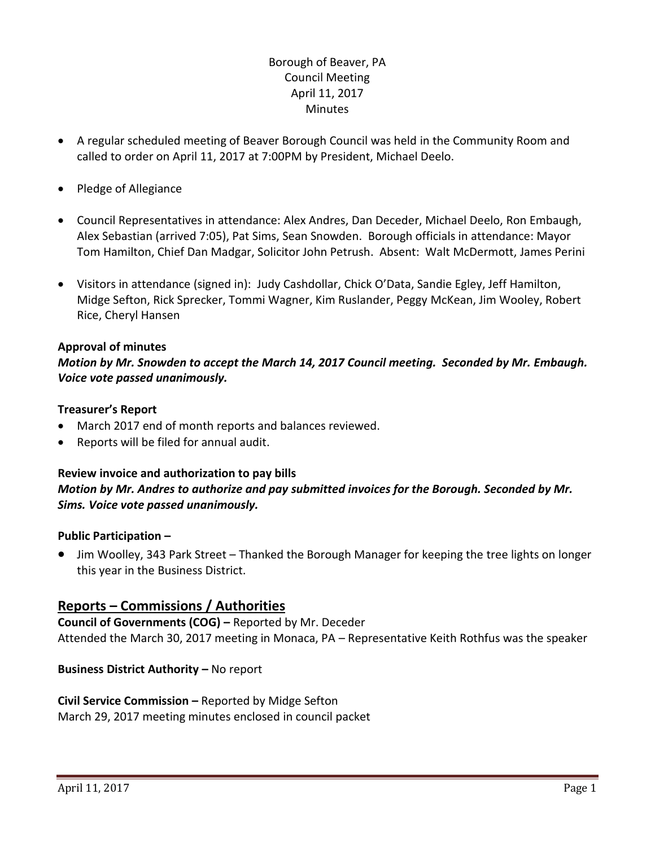## Borough of Beaver, PA Council Meeting April 11, 2017 **Minutes**

- A regular scheduled meeting of Beaver Borough Council was held in the Community Room and called to order on April 11, 2017 at 7:00PM by President, Michael Deelo.
- Pledge of Allegiance
- Council Representatives in attendance: Alex Andres, Dan Deceder, Michael Deelo, Ron Embaugh, Alex Sebastian (arrived 7:05), Pat Sims, Sean Snowden. Borough officials in attendance: Mayor Tom Hamilton, Chief Dan Madgar, Solicitor John Petrush. Absent: Walt McDermott, James Perini
- Visitors in attendance (signed in): Judy Cashdollar, Chick O'Data, Sandie Egley, Jeff Hamilton, Midge Sefton, Rick Sprecker, Tommi Wagner, Kim Ruslander, Peggy McKean, Jim Wooley, Robert Rice, Cheryl Hansen

## **Approval of minutes**

*Motion by Mr. Snowden to accept the March 14, 2017 Council meeting. Seconded by Mr. Embaugh. Voice vote passed unanimously.* 

## **Treasurer's Report**

- March 2017 end of month reports and balances reviewed.
- Reports will be filed for annual audit.

## **Review invoice and authorization to pay bills** *Motion by Mr. Andres to authorize and pay submitted invoices for the Borough. Seconded by Mr. Sims. Voice vote passed unanimously.*

## **Public Participation –**

 Jim Woolley, 343 Park Street – Thanked the Borough Manager for keeping the tree lights on longer this year in the Business District.

# **Reports – Commissions / Authorities**

**Council of Governments (COG) –** Reported by Mr. Deceder Attended the March 30, 2017 meeting in Monaca, PA – Representative Keith Rothfus was the speaker

# **Business District Authority - No report**

# **Civil Service Commission –** Reported by Midge Sefton

March 29, 2017 meeting minutes enclosed in council packet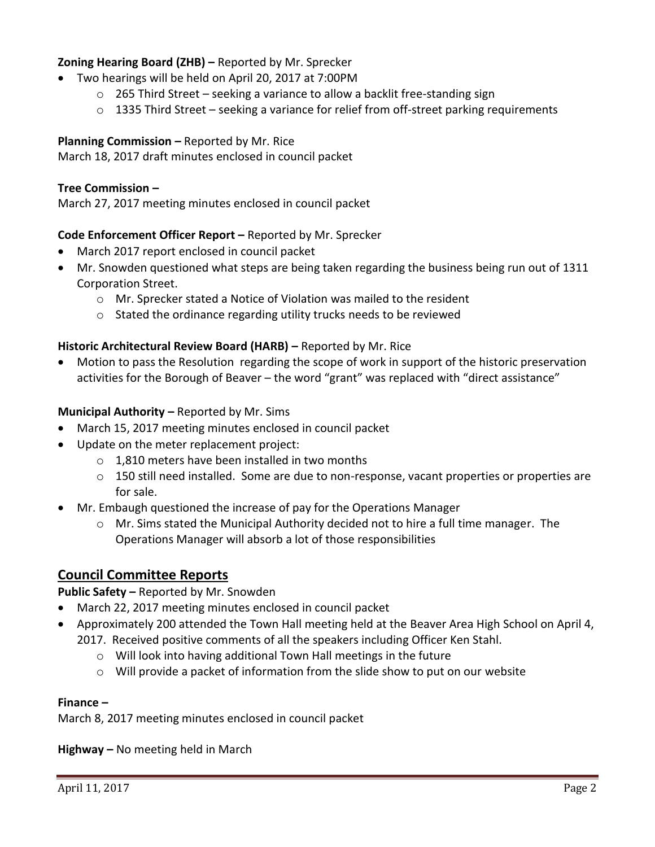## **Zoning Hearing Board (ZHB) –** Reported by Mr. Sprecker

- Two hearings will be held on April 20, 2017 at 7:00PM
	- o 265 Third Street seeking a variance to allow a backlit free-standing sign
	- $\circ$  1335 Third Street seeking a variance for relief from off-street parking requirements

**Planning Commission –** Reported by Mr. Rice

March 18, 2017 draft minutes enclosed in council packet

### **Tree Commission –**

March 27, 2017 meeting minutes enclosed in council packet

### **Code Enforcement Officer Report –** Reported by Mr. Sprecker

- March 2017 report enclosed in council packet
- Mr. Snowden questioned what steps are being taken regarding the business being run out of 1311 Corporation Street.
	- o Mr. Sprecker stated a Notice of Violation was mailed to the resident
	- o Stated the ordinance regarding utility trucks needs to be reviewed

#### **Historic Architectural Review Board (HARB) –** Reported by Mr. Rice

 Motion to pass the Resolution regarding the scope of work in support of the historic preservation activities for the Borough of Beaver – the word "grant" was replaced with "direct assistance"

#### **Municipal Authority – Reported by Mr. Sims**

- March 15, 2017 meeting minutes enclosed in council packet
- Update on the meter replacement project:
	- o 1,810 meters have been installed in two months
	- o 150 still need installed. Some are due to non-response, vacant properties or properties are for sale.
- Mr. Embaugh questioned the increase of pay for the Operations Manager
	- $\circ$  Mr. Sims stated the Municipal Authority decided not to hire a full time manager. The Operations Manager will absorb a lot of those responsibilities

## **Council Committee Reports**

**Public Safety –** Reported by Mr. Snowden

- March 22, 2017 meeting minutes enclosed in council packet
- Approximately 200 attended the Town Hall meeting held at the Beaver Area High School on April 4, 2017. Received positive comments of all the speakers including Officer Ken Stahl.
	- o Will look into having additional Town Hall meetings in the future
	- $\circ$  Will provide a packet of information from the slide show to put on our website

#### **Finance –**

March 8, 2017 meeting minutes enclosed in council packet

**Highway –** No meeting held in March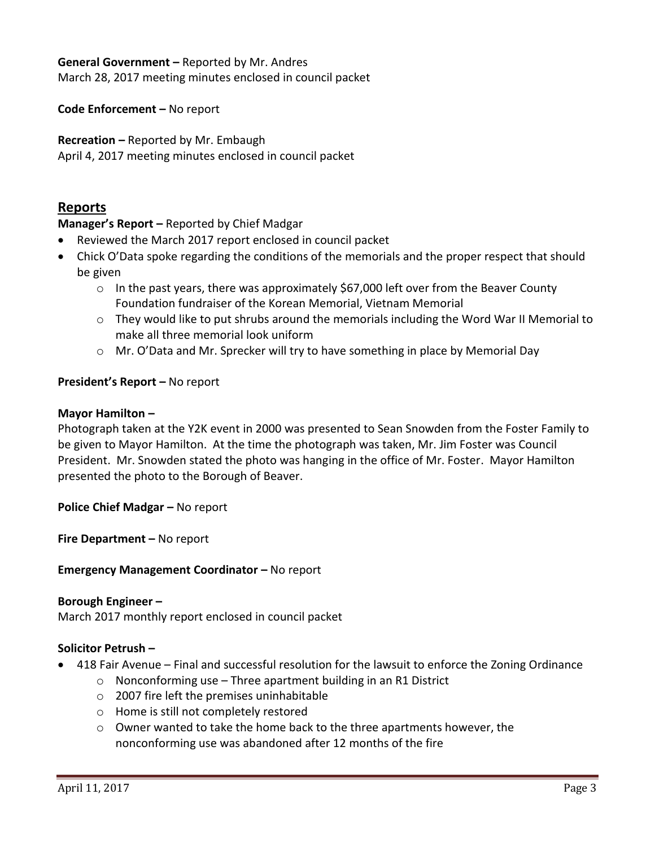### **General Government –** Reported by Mr. Andres

March 28, 2017 meeting minutes enclosed in council packet

**Code Enforcement –** No report

**Recreation –** Reported by Mr. Embaugh

April 4, 2017 meeting minutes enclosed in council packet

# **Reports**

**Manager's Report –** Reported by Chief Madgar

- Reviewed the March 2017 report enclosed in council packet
- Chick O'Data spoke regarding the conditions of the memorials and the proper respect that should be given
	- o In the past years, there was approximately \$67,000 left over from the Beaver County Foundation fundraiser of the Korean Memorial, Vietnam Memorial
	- $\circ$  They would like to put shrubs around the memorials including the Word War II Memorial to make all three memorial look uniform
	- $\circ$  Mr. O'Data and Mr. Sprecker will try to have something in place by Memorial Day

### **President's Report –** No report

#### **Mayor Hamilton –**

Photograph taken at the Y2K event in 2000 was presented to Sean Snowden from the Foster Family to be given to Mayor Hamilton. At the time the photograph was taken, Mr. Jim Foster was Council President. Mr. Snowden stated the photo was hanging in the office of Mr. Foster. Mayor Hamilton presented the photo to the Borough of Beaver.

**Police Chief Madgar - No report** 

**Fire Department –** No report

**Emergency Management Coordinator - No report** 

#### **Borough Engineer –**

March 2017 monthly report enclosed in council packet

### **Solicitor Petrush –**

- 418 Fair Avenue Final and successful resolution for the lawsuit to enforce the Zoning Ordinance
	- $\circ$  Nonconforming use Three apartment building in an R1 District
	- o 2007 fire left the premises uninhabitable
	- o Home is still not completely restored
	- $\circ$  Owner wanted to take the home back to the three apartments however, the nonconforming use was abandoned after 12 months of the fire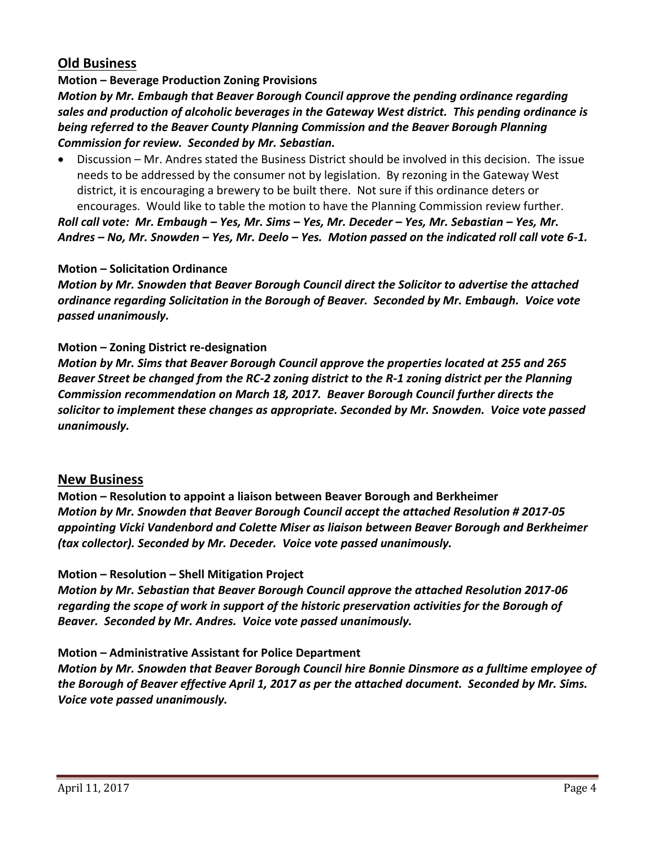# **Old Business**

## **Motion – Beverage Production Zoning Provisions**

*Motion by Mr. Embaugh that Beaver Borough Council approve the pending ordinance regarding sales and production of alcoholic beverages in the Gateway West district. This pending ordinance is being referred to the Beaver County Planning Commission and the Beaver Borough Planning Commission for review. Seconded by Mr. Sebastian.* 

 Discussion – Mr. Andres stated the Business District should be involved in this decision. The issue needs to be addressed by the consumer not by legislation. By rezoning in the Gateway West district, it is encouraging a brewery to be built there. Not sure if this ordinance deters or encourages. Would like to table the motion to have the Planning Commission review further. *Roll call vote: Mr. Embaugh – Yes, Mr. Sims – Yes, Mr. Deceder – Yes, Mr. Sebastian – Yes, Mr.* 

*Andres – No, Mr. Snowden – Yes, Mr. Deelo – Yes. Motion passed on the indicated roll call vote 6-1.*

### **Motion – Solicitation Ordinance**

*Motion by Mr. Snowden that Beaver Borough Council direct the Solicitor to advertise the attached ordinance regarding Solicitation in the Borough of Beaver. Seconded by Mr. Embaugh. Voice vote passed unanimously.*

### **Motion – Zoning District re-designation**

*Motion by Mr. Sims that Beaver Borough Council approve the properties located at 255 and 265 Beaver Street be changed from the RC-2 zoning district to the R-1 zoning district per the Planning Commission recommendation on March 18, 2017. Beaver Borough Council further directs the solicitor to implement these changes as appropriate. Seconded by Mr. Snowden. Voice vote passed unanimously.*

## **New Business**

**Motion – Resolution to appoint a liaison between Beaver Borough and Berkheimer** *Motion by Mr. Snowden that Beaver Borough Council accept the attached Resolution # 2017-05 appointing Vicki Vandenbord and Colette Miser as liaison between Beaver Borough and Berkheimer (tax collector). Seconded by Mr. Deceder. Voice vote passed unanimously.*

## **Motion – Resolution – Shell Mitigation Project**

*Motion by Mr. Sebastian that Beaver Borough Council approve the attached Resolution 2017-06 regarding the scope of work in support of the historic preservation activities for the Borough of Beaver. Seconded by Mr. Andres. Voice vote passed unanimously.*

## **Motion – Administrative Assistant for Police Department**

*Motion by Mr. Snowden that Beaver Borough Council hire Bonnie Dinsmore as a fulltime employee of the Borough of Beaver effective April 1, 2017 as per the attached document. Seconded by Mr. Sims. Voice vote passed unanimously.*